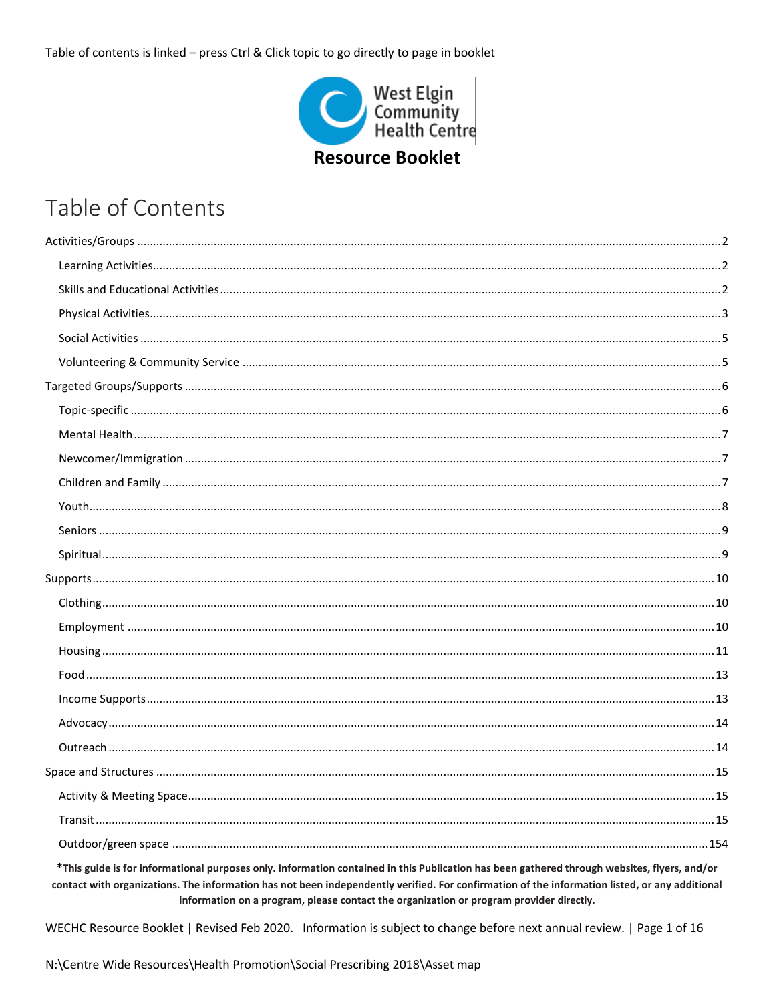Table of contents is linked - press Ctrl & Click topic to go directly to page in booklet



# Table of Contents

\*This guide is for informational purposes only. Information contained in this Publication has been gathered through websites, flyers, and/or contact with organizations. The information has not been independently verified. For confirmation of the information listed, or any additional information on a program, please contact the organization or program provider directly.

WECHC Resource Booklet | Revised Feb 2020. Information is subject to change before next annual review. | Page 1 of 16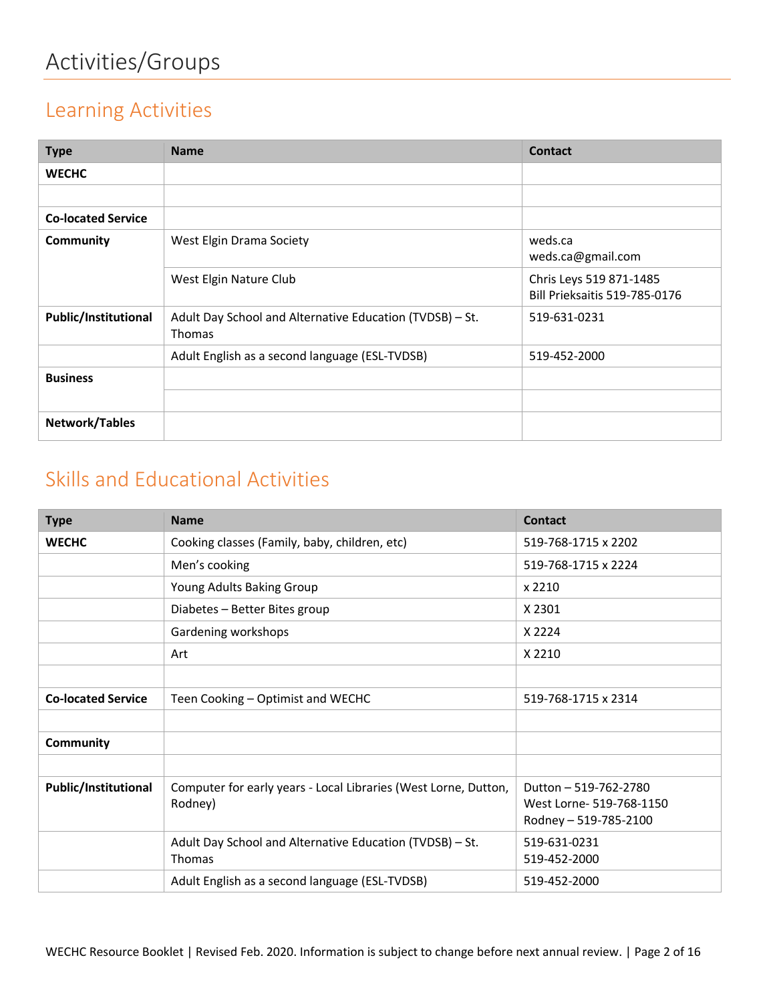#### <span id="page-1-1"></span><span id="page-1-0"></span>Learning Activities

| <b>Type</b>                 | <b>Name</b>                                                               | <b>Contact</b>                                                  |
|-----------------------------|---------------------------------------------------------------------------|-----------------------------------------------------------------|
| <b>WECHC</b>                |                                                                           |                                                                 |
|                             |                                                                           |                                                                 |
| <b>Co-located Service</b>   |                                                                           |                                                                 |
| <b>Community</b>            | West Elgin Drama Society                                                  | weds.ca<br>weds.ca@gmail.com                                    |
|                             | West Elgin Nature Club                                                    | Chris Leys 519 871-1485<br><b>Bill Prieksaitis 519-785-0176</b> |
| <b>Public/Institutional</b> | Adult Day School and Alternative Education (TVDSB) - St.<br><b>Thomas</b> | 519-631-0231                                                    |
|                             | Adult English as a second language (ESL-TVDSB)                            | 519-452-2000                                                    |
| <b>Business</b>             |                                                                           |                                                                 |
|                             |                                                                           |                                                                 |
| Network/Tables              |                                                                           |                                                                 |

#### <span id="page-1-2"></span>Skills and Educational Activities

| <b>Type</b>                 | <b>Name</b>                                                                | <b>Contact</b>                                                             |
|-----------------------------|----------------------------------------------------------------------------|----------------------------------------------------------------------------|
| <b>WECHC</b>                | Cooking classes (Family, baby, children, etc)                              | 519-768-1715 x 2202                                                        |
|                             | Men's cooking                                                              | 519-768-1715 x 2224                                                        |
|                             | Young Adults Baking Group                                                  | x 2210                                                                     |
|                             | Diabetes - Better Bites group                                              | X 2301                                                                     |
|                             | Gardening workshops                                                        | X 2224                                                                     |
|                             | Art                                                                        | X 2210                                                                     |
|                             |                                                                            |                                                                            |
| <b>Co-located Service</b>   | Teen Cooking - Optimist and WECHC                                          | 519-768-1715 x 2314                                                        |
|                             |                                                                            |                                                                            |
| Community                   |                                                                            |                                                                            |
|                             |                                                                            |                                                                            |
| <b>Public/Institutional</b> | Computer for early years - Local Libraries (West Lorne, Dutton,<br>Rodney) | Dutton - 519-762-2780<br>West Lorne- 519-768-1150<br>Rodney - 519-785-2100 |
|                             | Adult Day School and Alternative Education (TVDSB) - St.<br><b>Thomas</b>  | 519-631-0231<br>519-452-2000                                               |
|                             | Adult English as a second language (ESL-TVDSB)                             | 519-452-2000                                                               |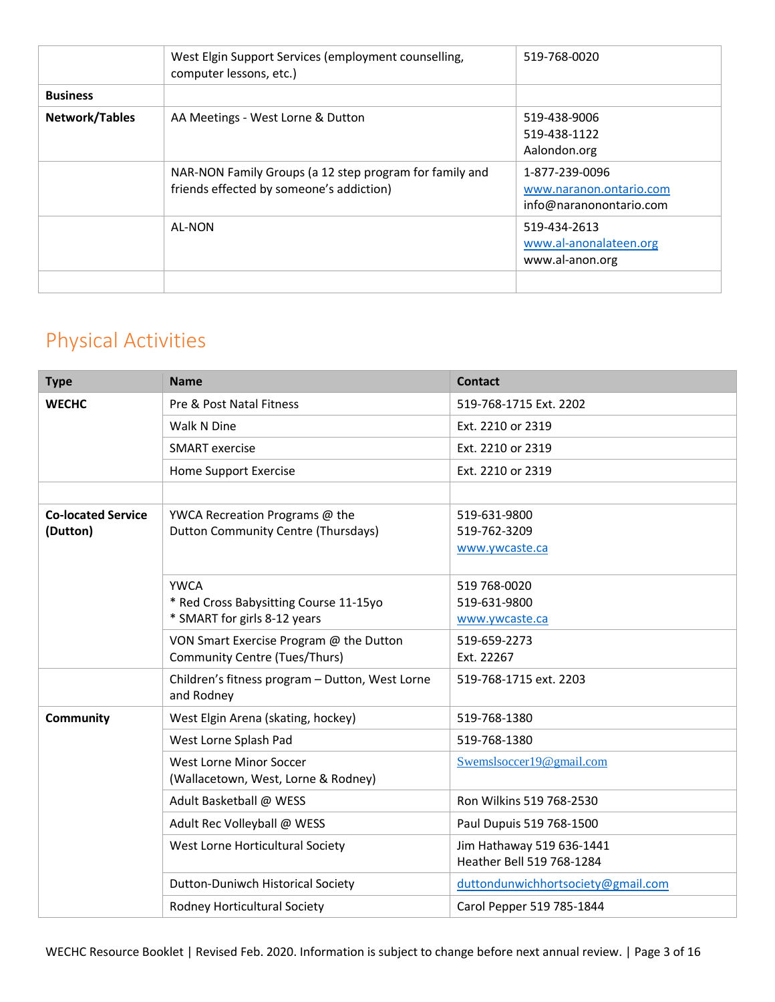|                 | West Elgin Support Services (employment counselling,<br>computer lessons, etc.)                     | 519-768-0020                                                         |
|-----------------|-----------------------------------------------------------------------------------------------------|----------------------------------------------------------------------|
| <b>Business</b> |                                                                                                     |                                                                      |
| Network/Tables  | AA Meetings - West Lorne & Dutton                                                                   | 519-438-9006<br>519-438-1122<br>Aalondon.org                         |
|                 | NAR-NON Family Groups (a 12 step program for family and<br>friends effected by someone's addiction) | 1-877-239-0096<br>www.naranon.ontario.com<br>info@naranonontario.com |
|                 | AL-NON                                                                                              | 519-434-2613<br>www.al-anonalateen.org<br>www.al-anon.org            |
|                 |                                                                                                     |                                                                      |

## <span id="page-2-0"></span>Physical Activities

| <b>Type</b>                           | <b>Name</b>                                                                           | <b>Contact</b>                                         |
|---------------------------------------|---------------------------------------------------------------------------------------|--------------------------------------------------------|
| <b>WECHC</b>                          | Pre & Post Natal Fitness                                                              | 519-768-1715 Ext. 2202                                 |
|                                       | Walk N Dine                                                                           | Ext. 2210 or 2319                                      |
|                                       | <b>SMART</b> exercise                                                                 | Ext. 2210 or 2319                                      |
|                                       | Home Support Exercise                                                                 | Ext. 2210 or 2319                                      |
|                                       |                                                                                       |                                                        |
| <b>Co-located Service</b><br>(Dutton) | YWCA Recreation Programs @ the<br>Dutton Community Centre (Thursdays)                 | 519-631-9800<br>519-762-3209<br>www.ywcaste.ca         |
|                                       | <b>YWCA</b><br>* Red Cross Babysitting Course 11-15yo<br>* SMART for girls 8-12 years | 519 768-0020<br>519-631-9800<br>www.ywcaste.ca         |
|                                       | VON Smart Exercise Program @ the Dutton<br><b>Community Centre (Tues/Thurs)</b>       | 519-659-2273<br>Ext. 22267                             |
|                                       | Children's fitness program - Dutton, West Lorne<br>and Rodney                         | 519-768-1715 ext. 2203                                 |
| <b>Community</b>                      | West Elgin Arena (skating, hockey)                                                    | 519-768-1380                                           |
|                                       | West Lorne Splash Pad                                                                 | 519-768-1380                                           |
|                                       | West Lorne Minor Soccer<br>(Wallacetown, West, Lorne & Rodney)                        | Swemslsoccer19@gmail.com                               |
|                                       | Adult Basketball @ WESS                                                               | Ron Wilkins 519 768-2530                               |
|                                       | Adult Rec Volleyball @ WESS                                                           | Paul Dupuis 519 768-1500                               |
|                                       | West Lorne Horticultural Society                                                      | Jim Hathaway 519 636-1441<br>Heather Bell 519 768-1284 |
|                                       | Dutton-Duniwch Historical Society                                                     | duttondunwichhortsociety@gmail.com                     |
|                                       | Rodney Horticultural Society                                                          | Carol Pepper 519 785-1844                              |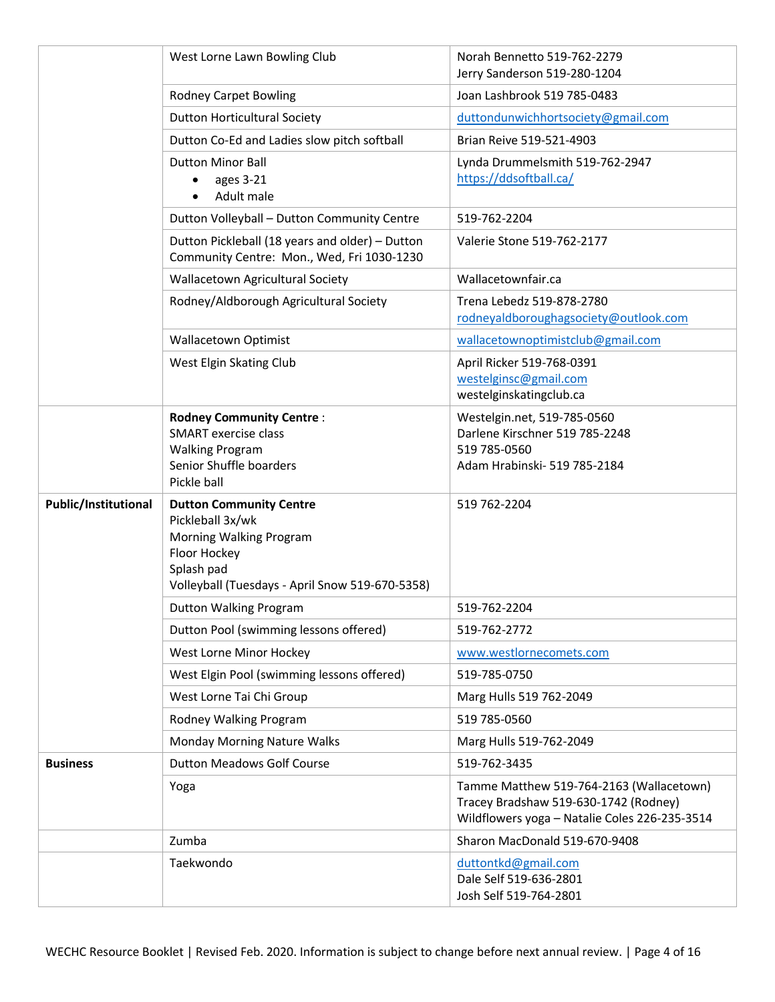|                             | West Lorne Lawn Bowling Club                                                                                                                                   | Norah Bennetto 519-762-2279<br>Jerry Sanderson 519-280-1204                                                                        |
|-----------------------------|----------------------------------------------------------------------------------------------------------------------------------------------------------------|------------------------------------------------------------------------------------------------------------------------------------|
|                             | <b>Rodney Carpet Bowling</b>                                                                                                                                   | Joan Lashbrook 519 785-0483                                                                                                        |
|                             | <b>Dutton Horticultural Society</b>                                                                                                                            | duttondunwichhortsociety@gmail.com                                                                                                 |
|                             | Dutton Co-Ed and Ladies slow pitch softball                                                                                                                    | Brian Reive 519-521-4903                                                                                                           |
|                             | <b>Dutton Minor Ball</b><br>ages 3-21<br>Adult male                                                                                                            | Lynda Drummelsmith 519-762-2947<br>https://ddsoftball.ca/                                                                          |
|                             | Dutton Volleyball - Dutton Community Centre                                                                                                                    | 519-762-2204                                                                                                                       |
|                             | Dutton Pickleball (18 years and older) - Dutton<br>Community Centre: Mon., Wed, Fri 1030-1230                                                                  | Valerie Stone 519-762-2177                                                                                                         |
|                             | Wallacetown Agricultural Society                                                                                                                               | Wallacetownfair.ca                                                                                                                 |
|                             | Rodney/Aldborough Agricultural Society                                                                                                                         | Trena Lebedz 519-878-2780<br>rodneyaldboroughagsociety@outlook.com                                                                 |
|                             | <b>Wallacetown Optimist</b>                                                                                                                                    | wallacetownoptimistclub@gmail.com                                                                                                  |
|                             | West Elgin Skating Club                                                                                                                                        | April Ricker 519-768-0391<br>westelginsc@gmail.com<br>westelginskatingclub.ca                                                      |
|                             | <b>Rodney Community Centre:</b><br><b>SMART</b> exercise class<br><b>Walking Program</b><br>Senior Shuffle boarders<br>Pickle ball                             | Westelgin.net, 519-785-0560<br>Darlene Kirschner 519 785-2248<br>519 785-0560<br>Adam Hrabinski-519 785-2184                       |
| <b>Public/Institutional</b> | <b>Dutton Community Centre</b><br>Pickleball 3x/wk<br>Morning Walking Program<br>Floor Hockey<br>Splash pad<br>Volleyball (Tuesdays - April Snow 519-670-5358) | 519 762-2204                                                                                                                       |
|                             | Dutton Walking Program                                                                                                                                         | 519-762-2204                                                                                                                       |
|                             | Dutton Pool (swimming lessons offered)                                                                                                                         | 519-762-2772                                                                                                                       |
|                             | West Lorne Minor Hockey                                                                                                                                        | www.westlornecomets.com                                                                                                            |
|                             | West Elgin Pool (swimming lessons offered)                                                                                                                     | 519-785-0750                                                                                                                       |
|                             | West Lorne Tai Chi Group                                                                                                                                       | Marg Hulls 519 762-2049                                                                                                            |
|                             | Rodney Walking Program                                                                                                                                         | 519 785-0560                                                                                                                       |
|                             | Monday Morning Nature Walks                                                                                                                                    | Marg Hulls 519-762-2049                                                                                                            |
| <b>Business</b>             | <b>Dutton Meadows Golf Course</b>                                                                                                                              | 519-762-3435                                                                                                                       |
|                             | Yoga                                                                                                                                                           | Tamme Matthew 519-764-2163 (Wallacetown)<br>Tracey Bradshaw 519-630-1742 (Rodney)<br>Wildflowers yoga - Natalie Coles 226-235-3514 |
|                             | Zumba                                                                                                                                                          | Sharon MacDonald 519-670-9408                                                                                                      |
|                             | Taekwondo                                                                                                                                                      | duttontkd@gmail.com                                                                                                                |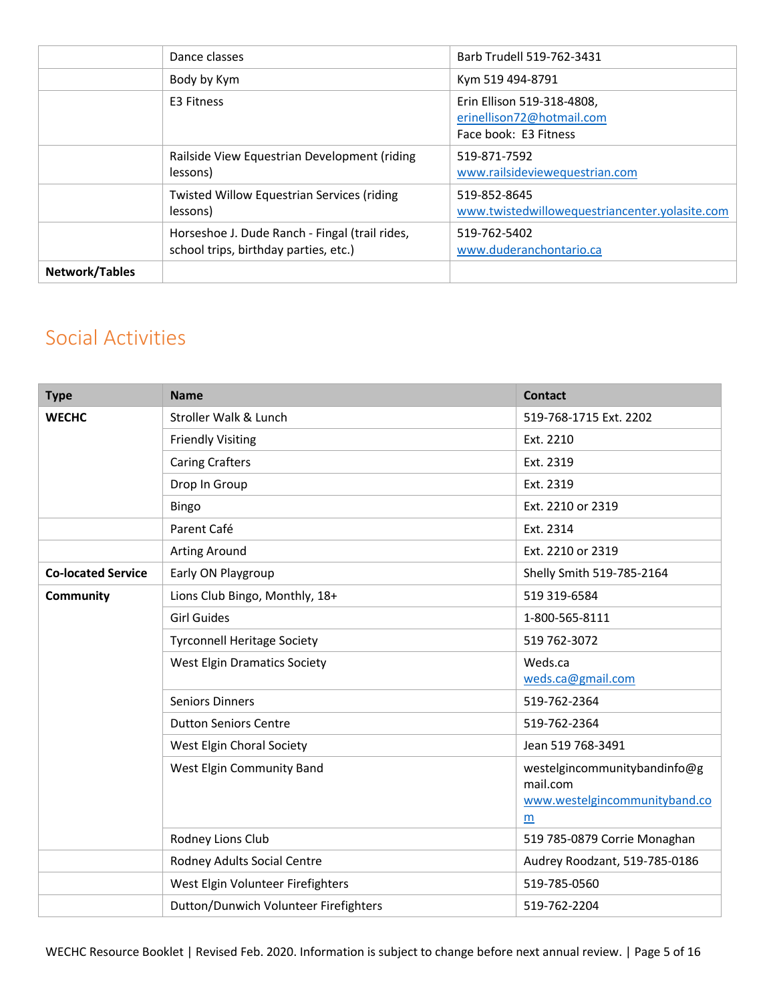|                       | Dance classes                                                                           | Barb Trudell 519-762-3431                                                        |
|-----------------------|-----------------------------------------------------------------------------------------|----------------------------------------------------------------------------------|
|                       | Body by Kym                                                                             | Kym 519 494-8791                                                                 |
|                       | E3 Fitness                                                                              | Erin Ellison 519-318-4808,<br>erinellison72@hotmail.com<br>Face book: E3 Fitness |
|                       | Railside View Equestrian Development (riding<br>lessons)                                | 519-871-7592<br>www.railsideviewequestrian.com                                   |
|                       | <b>Twisted Willow Equestrian Services (riding</b><br>lessons)                           | 519-852-8645<br>www.twistedwillowequestriancenter.yolasite.com                   |
|                       | Horseshoe J. Dude Ranch - Fingal (trail rides,<br>school trips, birthday parties, etc.) | 519-762-5402<br>www.duderanchontario.ca                                          |
| <b>Network/Tables</b> |                                                                                         |                                                                                  |

### <span id="page-4-0"></span>Social Activities

| <b>Type</b>               | <b>Name</b>                           | <b>Contact</b>                                                                 |
|---------------------------|---------------------------------------|--------------------------------------------------------------------------------|
| <b>WECHC</b>              | Stroller Walk & Lunch                 | 519-768-1715 Ext. 2202                                                         |
|                           | <b>Friendly Visiting</b>              | Ext. 2210                                                                      |
|                           | <b>Caring Crafters</b>                | Ext. 2319                                                                      |
|                           | Drop In Group                         | Ext. 2319                                                                      |
|                           | <b>Bingo</b>                          | Ext. 2210 or 2319                                                              |
|                           | Parent Café                           | Ext. 2314                                                                      |
|                           | <b>Arting Around</b>                  | Ext. 2210 or 2319                                                              |
| <b>Co-located Service</b> | Early ON Playgroup                    | Shelly Smith 519-785-2164                                                      |
| Community                 | Lions Club Bingo, Monthly, 18+        | 519 319-6584                                                                   |
|                           | <b>Girl Guides</b>                    | 1-800-565-8111                                                                 |
|                           | <b>Tyrconnell Heritage Society</b>    | 519 762-3072                                                                   |
|                           | <b>West Elgin Dramatics Society</b>   | Weds.ca<br>weds.ca@gmail.com                                                   |
|                           | <b>Seniors Dinners</b>                | 519-762-2364                                                                   |
|                           | <b>Dutton Seniors Centre</b>          | 519-762-2364                                                                   |
|                           | West Elgin Choral Society             | Jean 519 768-3491                                                              |
|                           | West Elgin Community Band             | westelgincommunitybandinfo@g<br>mail.com<br>www.westelgincommunityband.co<br>m |
|                           | Rodney Lions Club                     | 519 785-0879 Corrie Monaghan                                                   |
|                           | Rodney Adults Social Centre           | Audrey Roodzant, 519-785-0186                                                  |
|                           | West Elgin Volunteer Firefighters     | 519-785-0560                                                                   |
|                           | Dutton/Dunwich Volunteer Firefighters | 519-762-2204                                                                   |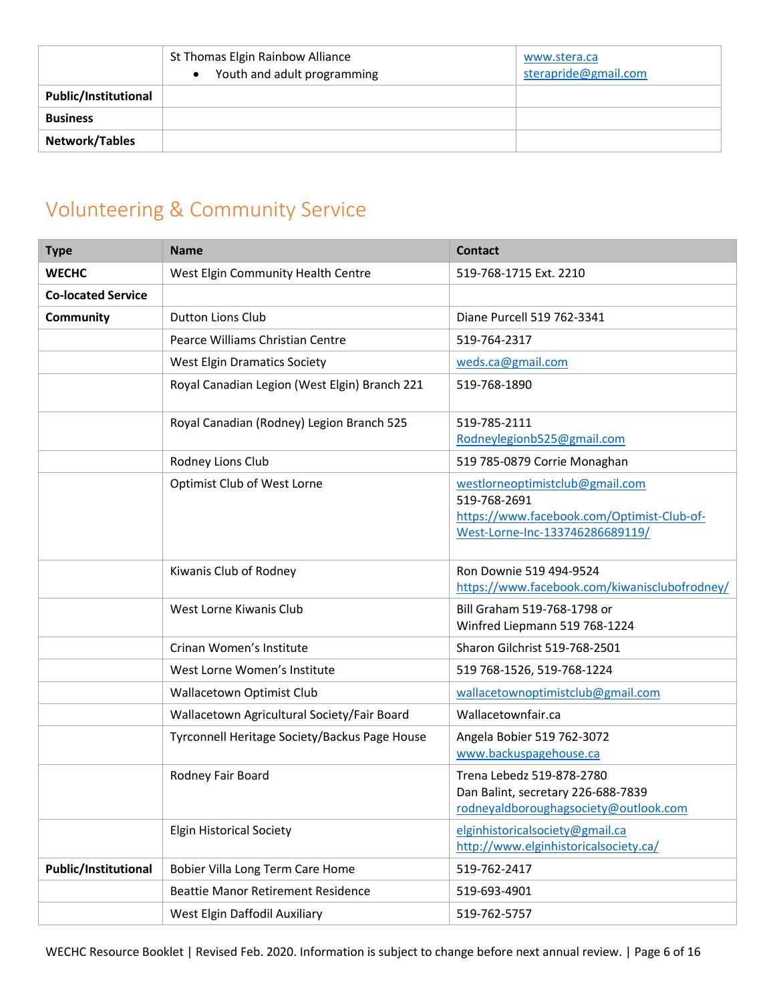|                             | St Thomas Elgin Rainbow Alliance<br>Youth and adult programming<br>$\bullet$ | www.stera.ca<br>sterapride@gmail.com |
|-----------------------------|------------------------------------------------------------------------------|--------------------------------------|
| <b>Public/Institutional</b> |                                                                              |                                      |
| <b>Business</b>             |                                                                              |                                      |
| Network/Tables              |                                                                              |                                      |

## <span id="page-5-0"></span>Volunteering & Community Service

| <b>Type</b>                 | <b>Name</b>                                   | <b>Contact</b>                                                                                                                   |
|-----------------------------|-----------------------------------------------|----------------------------------------------------------------------------------------------------------------------------------|
| <b>WECHC</b>                | West Elgin Community Health Centre            | 519-768-1715 Ext. 2210                                                                                                           |
| <b>Co-located Service</b>   |                                               |                                                                                                                                  |
| Community                   | <b>Dutton Lions Club</b>                      | Diane Purcell 519 762-3341                                                                                                       |
|                             | Pearce Williams Christian Centre              | 519-764-2317                                                                                                                     |
|                             | <b>West Elgin Dramatics Society</b>           | weds.ca@gmail.com                                                                                                                |
|                             | Royal Canadian Legion (West Elgin) Branch 221 | 519-768-1890                                                                                                                     |
|                             | Royal Canadian (Rodney) Legion Branch 525     | 519-785-2111<br>Rodneylegionb525@gmail.com                                                                                       |
|                             | Rodney Lions Club                             | 519 785-0879 Corrie Monaghan                                                                                                     |
|                             | Optimist Club of West Lorne                   | westlorneoptimistclub@gmail.com<br>519-768-2691<br>https://www.facebook.com/Optimist-Club-of-<br>West-Lorne-Inc-133746286689119/ |
|                             | Kiwanis Club of Rodney                        | Ron Downie 519 494-9524<br>https://www.facebook.com/kiwanisclubofrodney/                                                         |
|                             | West Lorne Kiwanis Club                       | Bill Graham 519-768-1798 or<br>Winfred Liepmann 519 768-1224                                                                     |
|                             | Crinan Women's Institute                      | Sharon Gilchrist 519-768-2501                                                                                                    |
|                             | West Lorne Women's Institute                  | 519 768-1526, 519-768-1224                                                                                                       |
|                             | Wallacetown Optimist Club                     | wallacetownoptimistclub@gmail.com                                                                                                |
|                             | Wallacetown Agricultural Society/Fair Board   | Wallacetownfair.ca                                                                                                               |
|                             | Tyrconnell Heritage Society/Backus Page House | Angela Bobier 519 762-3072<br>www.backuspagehouse.ca                                                                             |
|                             | Rodney Fair Board                             | Trena Lebedz 519-878-2780<br>Dan Balint, secretary 226-688-7839<br>rodneyaldboroughagsociety@outlook.com                         |
|                             | <b>Elgin Historical Society</b>               | elginhistoricalsociety@gmail.ca<br>http://www.elginhistoricalsociety.ca/                                                         |
| <b>Public/Institutional</b> | Bobier Villa Long Term Care Home              | 519-762-2417                                                                                                                     |
|                             | <b>Beattie Manor Retirement Residence</b>     | 519-693-4901                                                                                                                     |
|                             | West Elgin Daffodil Auxiliary                 | 519-762-5757                                                                                                                     |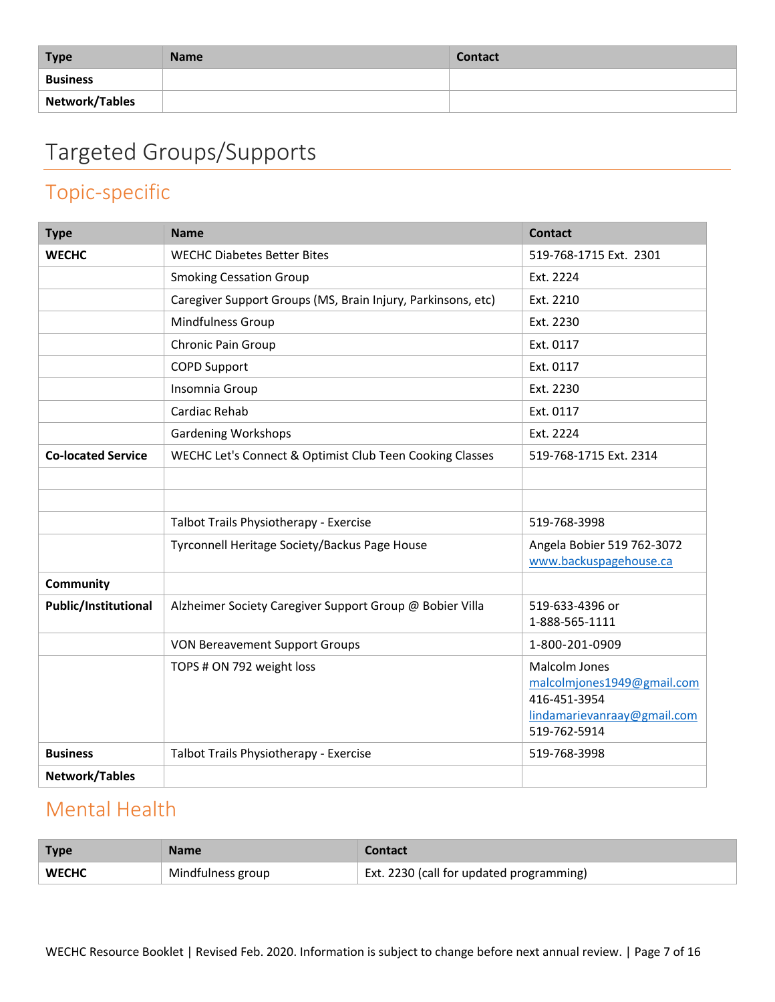| <b>Type</b>     | <b>Name</b> | <b>Contact</b> |
|-----------------|-------------|----------------|
| <b>Business</b> |             |                |
| Network/Tables  |             |                |

# <span id="page-6-0"></span>Targeted Groups/Supports

### <span id="page-6-1"></span>Topic-specific

| <b>Type</b>               | <b>Name</b>                                                  | <b>Contact</b>                                                                                             |
|---------------------------|--------------------------------------------------------------|------------------------------------------------------------------------------------------------------------|
| <b>WECHC</b>              | <b>WECHC Diabetes Better Bites</b>                           | 519-768-1715 Ext. 2301                                                                                     |
|                           | <b>Smoking Cessation Group</b>                               | Ext. 2224                                                                                                  |
|                           | Caregiver Support Groups (MS, Brain Injury, Parkinsons, etc) | Ext. 2210                                                                                                  |
|                           | Mindfulness Group                                            | Ext. 2230                                                                                                  |
|                           | Chronic Pain Group                                           | Ext. 0117                                                                                                  |
|                           | <b>COPD Support</b>                                          | Ext. 0117                                                                                                  |
|                           | Insomnia Group                                               | Ext. 2230                                                                                                  |
|                           | Cardiac Rehab                                                | Ext. 0117                                                                                                  |
|                           | <b>Gardening Workshops</b>                                   | Ext. 2224                                                                                                  |
| <b>Co-located Service</b> | WECHC Let's Connect & Optimist Club Teen Cooking Classes     | 519-768-1715 Ext. 2314                                                                                     |
|                           |                                                              |                                                                                                            |
|                           |                                                              |                                                                                                            |
|                           | Talbot Trails Physiotherapy - Exercise                       | 519-768-3998                                                                                               |
|                           | Tyrconnell Heritage Society/Backus Page House                | Angela Bobier 519 762-3072                                                                                 |
|                           |                                                              | www.backuspagehouse.ca                                                                                     |
| Community                 |                                                              |                                                                                                            |
| Public/Institutional      | Alzheimer Society Caregiver Support Group @ Bobier Villa     | 519-633-4396 or<br>1-888-565-1111                                                                          |
|                           | <b>VON Bereavement Support Groups</b>                        | 1-800-201-0909                                                                                             |
|                           | TOPS # ON 792 weight loss                                    | Malcolm Jones<br>malcolmjones1949@gmail.com<br>416-451-3954<br>lindamarievanraay@gmail.com<br>519-762-5914 |
| <b>Business</b>           | Talbot Trails Physiotherapy - Exercise                       | 519-768-3998                                                                                               |
| <b>Network/Tables</b>     |                                                              |                                                                                                            |

#### <span id="page-6-2"></span>Mental Health

| <b>Type</b>  | Name              | Contact                                      |
|--------------|-------------------|----------------------------------------------|
| <b>WECHC</b> | Mindfulness group | $E$ Ext. 2230 (call for updated programming) |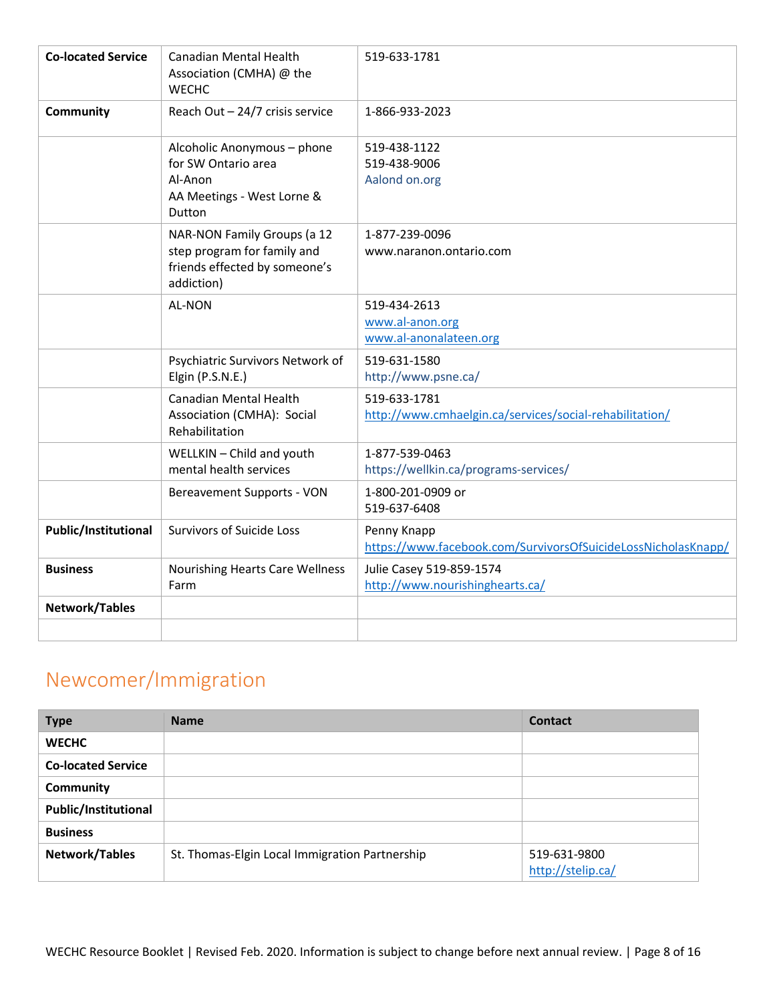| <b>Co-located Service</b>   | Canadian Mental Health<br>Association (CMHA) @ the<br><b>WECHC</b>                                        | 519-633-1781                                                                 |
|-----------------------------|-----------------------------------------------------------------------------------------------------------|------------------------------------------------------------------------------|
| Community                   | Reach Out - 24/7 crisis service                                                                           | 1-866-933-2023                                                               |
|                             | Alcoholic Anonymous - phone<br>for SW Ontario area<br>Al-Anon<br>AA Meetings - West Lorne &<br>Dutton     | 519-438-1122<br>519-438-9006<br>Aalond on.org                                |
|                             | NAR-NON Family Groups (a 12<br>step program for family and<br>friends effected by someone's<br>addiction) | 1-877-239-0096<br>www.naranon.ontario.com                                    |
|                             | <b>AL-NON</b>                                                                                             | 519-434-2613<br>www.al-anon.org<br>www.al-anonalateen.org                    |
|                             | Psychiatric Survivors Network of<br>Elgin (P.S.N.E.)                                                      | 519-631-1580<br>http://www.psne.ca/                                          |
|                             | Canadian Mental Health<br>Association (CMHA): Social<br>Rehabilitation                                    | 519-633-1781<br>http://www.cmhaelgin.ca/services/social-rehabilitation/      |
|                             | WELLKIN - Child and youth<br>mental health services                                                       | 1-877-539-0463<br>https://wellkin.ca/programs-services/                      |
|                             | Bereavement Supports - VON                                                                                | 1-800-201-0909 or<br>519-637-6408                                            |
| <b>Public/Institutional</b> | <b>Survivors of Suicide Loss</b>                                                                          | Penny Knapp<br>https://www.facebook.com/SurvivorsOfSuicideLossNicholasKnapp/ |
| <b>Business</b>             | <b>Nourishing Hearts Care Wellness</b><br>Farm                                                            | Julie Casey 519-859-1574<br>http://www.nourishinghearts.ca/                  |
| Network/Tables              |                                                                                                           |                                                                              |
|                             |                                                                                                           |                                                                              |

## <span id="page-7-0"></span>Newcomer/Immigration

| <b>Type</b>                 | <b>Name</b>                                    | <b>Contact</b>                    |
|-----------------------------|------------------------------------------------|-----------------------------------|
| <b>WECHC</b>                |                                                |                                   |
| <b>Co-located Service</b>   |                                                |                                   |
| Community                   |                                                |                                   |
| <b>Public/Institutional</b> |                                                |                                   |
| <b>Business</b>             |                                                |                                   |
| Network/Tables              | St. Thomas-Elgin Local Immigration Partnership | 519-631-9800<br>http://stelip.ca/ |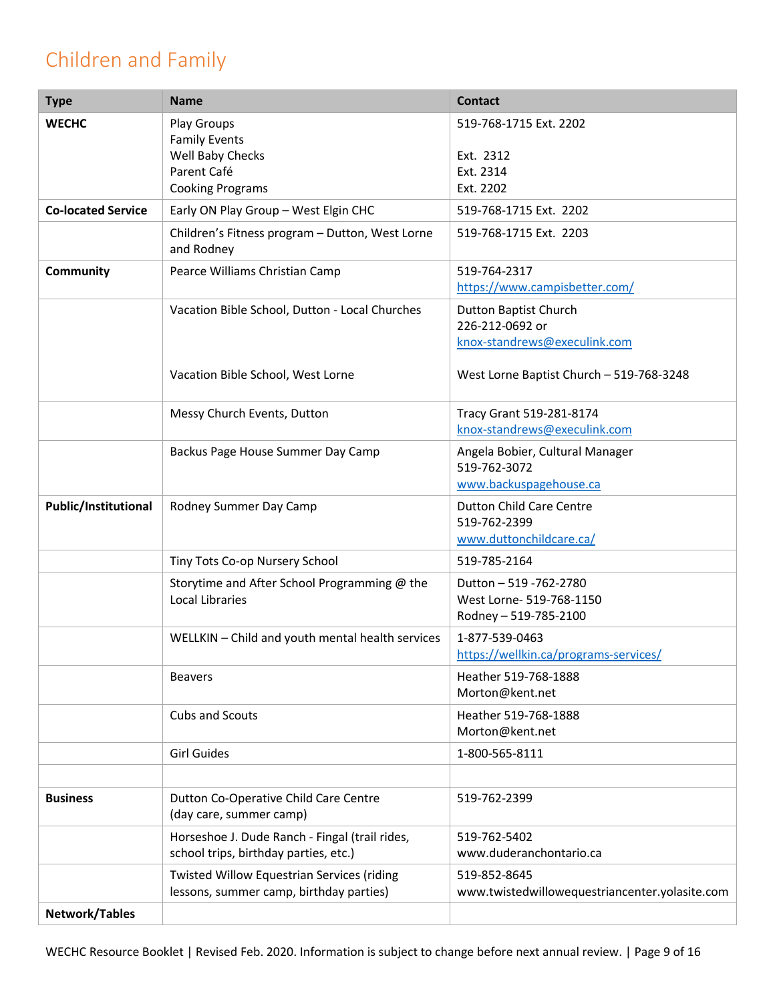## <span id="page-8-0"></span>Children and Family

| <b>Type</b>                 | <b>Name</b>                                                                             | <b>Contact</b>                                 |
|-----------------------------|-----------------------------------------------------------------------------------------|------------------------------------------------|
| <b>WECHC</b>                | <b>Play Groups</b>                                                                      | 519-768-1715 Ext. 2202                         |
|                             | <b>Family Events</b>                                                                    |                                                |
|                             | Well Baby Checks<br>Parent Café                                                         | Ext. 2312<br>Ext. 2314                         |
|                             | <b>Cooking Programs</b>                                                                 | Ext. 2202                                      |
| <b>Co-located Service</b>   | Early ON Play Group - West Elgin CHC                                                    | 519-768-1715 Ext. 2202                         |
|                             |                                                                                         |                                                |
|                             | Children's Fitness program - Dutton, West Lorne<br>and Rodney                           | 519-768-1715 Ext. 2203                         |
| Community                   | Pearce Williams Christian Camp                                                          | 519-764-2317                                   |
|                             |                                                                                         | https://www.campisbetter.com/                  |
|                             | Vacation Bible School, Dutton - Local Churches                                          | <b>Dutton Baptist Church</b>                   |
|                             |                                                                                         | 226-212-0692 or                                |
|                             |                                                                                         | knox-standrews@execulink.com                   |
|                             | Vacation Bible School, West Lorne                                                       | West Lorne Baptist Church - 519-768-3248       |
|                             | Messy Church Events, Dutton                                                             | Tracy Grant 519-281-8174                       |
|                             |                                                                                         | knox-standrews@execulink.com                   |
|                             | Backus Page House Summer Day Camp                                                       | Angela Bobier, Cultural Manager                |
|                             |                                                                                         | 519-762-3072                                   |
|                             |                                                                                         | www.backuspagehouse.ca                         |
| <b>Public/Institutional</b> | Rodney Summer Day Camp                                                                  | <b>Dutton Child Care Centre</b>                |
|                             |                                                                                         | 519-762-2399                                   |
|                             |                                                                                         | www.duttonchildcare.ca/                        |
|                             | Tiny Tots Co-op Nursery School                                                          | 519-785-2164                                   |
|                             | Storytime and After School Programming @ the                                            | Dutton - 519 - 762 - 2780                      |
|                             | <b>Local Libraries</b>                                                                  | West Lorne- 519-768-1150                       |
|                             |                                                                                         | Rodney - 519-785-2100                          |
|                             | WELLKIN - Child and youth mental health services                                        | 1-877-539-0463                                 |
|                             |                                                                                         | https://wellkin.ca/programs-services/          |
|                             | <b>Beavers</b>                                                                          | Heather 519-768-1888                           |
|                             |                                                                                         | Morton@kent.net                                |
|                             | Cubs and Scouts                                                                         | Heather 519-768-1888<br>Morton@kent.net        |
|                             | <b>Girl Guides</b>                                                                      | 1-800-565-8111                                 |
|                             |                                                                                         |                                                |
| <b>Business</b>             | Dutton Co-Operative Child Care Centre<br>(day care, summer camp)                        | 519-762-2399                                   |
|                             | Horseshoe J. Dude Ranch - Fingal (trail rides,<br>school trips, birthday parties, etc.) | 519-762-5402<br>www.duderanchontario.ca        |
|                             | Twisted Willow Equestrian Services (riding                                              | 519-852-8645                                   |
|                             | lessons, summer camp, birthday parties)                                                 | www.twistedwillowequestriancenter.yolasite.com |
| <b>Network/Tables</b>       |                                                                                         |                                                |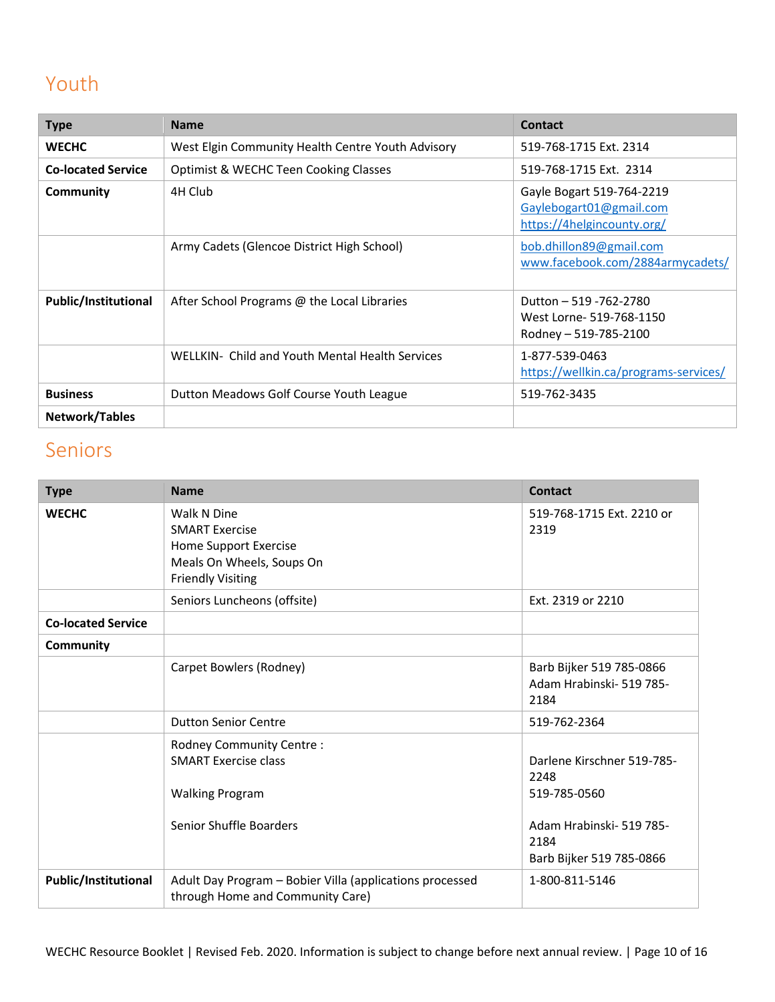## <span id="page-9-0"></span>Youth

| <b>Type</b>                 | <b>Name</b>                                       | <b>Contact</b>                                                                     |
|-----------------------------|---------------------------------------------------|------------------------------------------------------------------------------------|
| <b>WECHC</b>                | West Elgin Community Health Centre Youth Advisory | 519-768-1715 Ext. 2314                                                             |
| <b>Co-located Service</b>   | <b>Optimist &amp; WECHC Teen Cooking Classes</b>  | 519-768-1715 Ext. 2314                                                             |
| Community                   | 4H Club                                           | Gayle Bogart 519-764-2219<br>Gaylebogart01@gmail.com<br>https://4helgincounty.org/ |
|                             | Army Cadets (Glencoe District High School)        | bob.dhillon89@gmail.com<br>www.facebook.com/2884armycadets/                        |
| <b>Public/Institutional</b> | After School Programs @ the Local Libraries       | Dutton - 519 - 762 - 2780<br>West Lorne- 519-768-1150<br>Rodney - 519-785-2100     |
|                             | WELLKIN- Child and Youth Mental Health Services   | 1-877-539-0463<br>https://wellkin.ca/programs-services/                            |
| <b>Business</b>             | Dutton Meadows Golf Course Youth League           | 519-762-3435                                                                       |
| Network/Tables              |                                                   |                                                                                    |

### <span id="page-9-1"></span>Seniors

| <b>Type</b>                 | <b>Name</b>                                                                                                            | <b>Contact</b>                                                                                                     |
|-----------------------------|------------------------------------------------------------------------------------------------------------------------|--------------------------------------------------------------------------------------------------------------------|
| <b>WECHC</b>                | Walk N Dine<br><b>SMART Exercise</b><br>Home Support Exercise<br>Meals On Wheels, Soups On<br><b>Friendly Visiting</b> | 519-768-1715 Ext. 2210 or<br>2319                                                                                  |
|                             | Seniors Luncheons (offsite)                                                                                            | Ext. 2319 or 2210                                                                                                  |
| <b>Co-located Service</b>   |                                                                                                                        |                                                                                                                    |
| <b>Community</b>            |                                                                                                                        |                                                                                                                    |
|                             | Carpet Bowlers (Rodney)                                                                                                | Barb Bijker 519 785-0866<br>Adam Hrabinski- 519 785-<br>2184                                                       |
|                             | <b>Dutton Senior Centre</b>                                                                                            | 519-762-2364                                                                                                       |
|                             | Rodney Community Centre:<br><b>SMART Exercise class</b><br><b>Walking Program</b><br>Senior Shuffle Boarders           | Darlene Kirschner 519-785-<br>2248<br>519-785-0560<br>Adam Hrabinski- 519 785-<br>2184<br>Barb Bijker 519 785-0866 |
| <b>Public/Institutional</b> | Adult Day Program - Bobier Villa (applications processed<br>through Home and Community Care)                           | 1-800-811-5146                                                                                                     |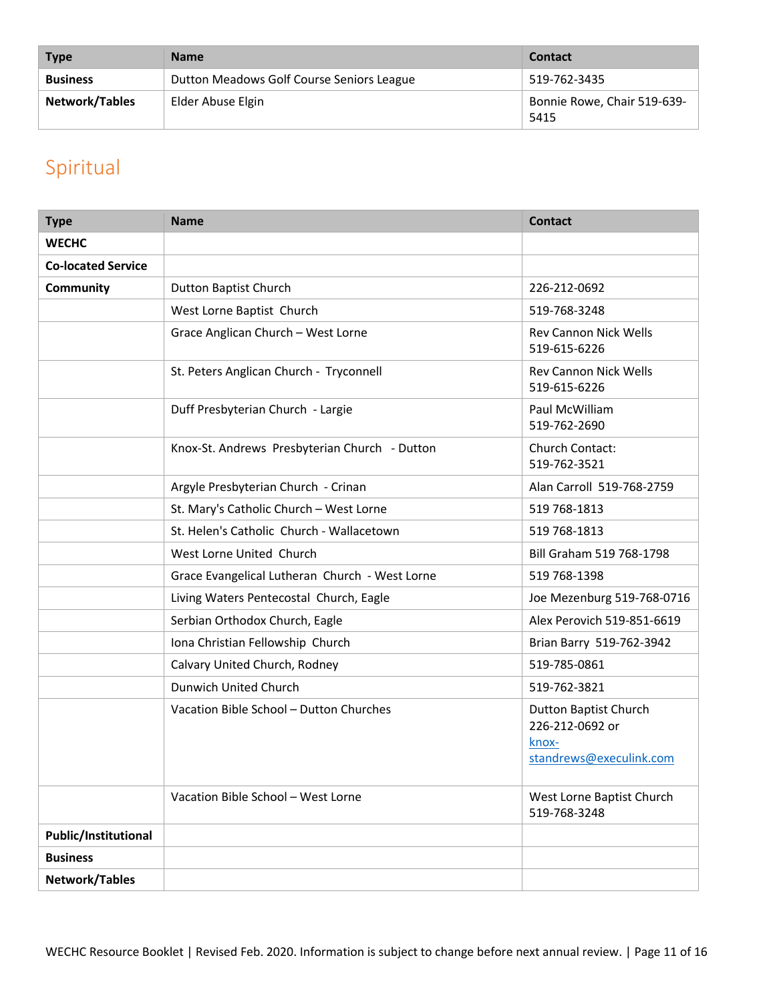| <b>Type</b>     | <b>Name</b>                               | <b>Contact</b>                      |
|-----------------|-------------------------------------------|-------------------------------------|
| <b>Business</b> | Dutton Meadows Golf Course Seniors League | 519-762-3435                        |
| Network/Tables  | Elder Abuse Elgin                         | Bonnie Rowe, Chair 519-639-<br>5415 |

## <span id="page-10-0"></span>Spiritual

| <b>Type</b>               | <b>Name</b>                                    | <b>Contact</b>                                                                      |
|---------------------------|------------------------------------------------|-------------------------------------------------------------------------------------|
| <b>WECHC</b>              |                                                |                                                                                     |
| <b>Co-located Service</b> |                                                |                                                                                     |
| Community                 | Dutton Baptist Church                          | 226-212-0692                                                                        |
|                           | West Lorne Baptist Church                      | 519-768-3248                                                                        |
|                           | Grace Anglican Church - West Lorne             | <b>Rev Cannon Nick Wells</b><br>519-615-6226                                        |
|                           | St. Peters Anglican Church - Tryconnell        | <b>Rev Cannon Nick Wells</b><br>519-615-6226                                        |
|                           | Duff Presbyterian Church - Largie              | Paul McWilliam<br>519-762-2690                                                      |
|                           | Knox-St. Andrews Presbyterian Church - Dutton  | Church Contact:<br>519-762-3521                                                     |
|                           | Argyle Presbyterian Church - Crinan            | Alan Carroll 519-768-2759                                                           |
|                           | St. Mary's Catholic Church - West Lorne        | 519 768-1813                                                                        |
|                           | St. Helen's Catholic Church - Wallacetown      | 519 768-1813                                                                        |
|                           | West Lorne United Church                       | Bill Graham 519 768-1798                                                            |
|                           | Grace Evangelical Lutheran Church - West Lorne | 519 768-1398                                                                        |
|                           | Living Waters Pentecostal Church, Eagle        | Joe Mezenburg 519-768-0716                                                          |
|                           | Serbian Orthodox Church, Eagle                 | Alex Perovich 519-851-6619                                                          |
|                           | Iona Christian Fellowship Church               | Brian Barry 519-762-3942                                                            |
|                           | Calvary United Church, Rodney                  | 519-785-0861                                                                        |
|                           | Dunwich United Church                          | 519-762-3821                                                                        |
|                           | Vacation Bible School - Dutton Churches        | <b>Dutton Baptist Church</b><br>226-212-0692 or<br>knox-<br>standrews@execulink.com |
|                           | Vacation Bible School - West Lorne             | West Lorne Baptist Church<br>519-768-3248                                           |
| Public/Institutional      |                                                |                                                                                     |
| <b>Business</b>           |                                                |                                                                                     |
| Network/Tables            |                                                |                                                                                     |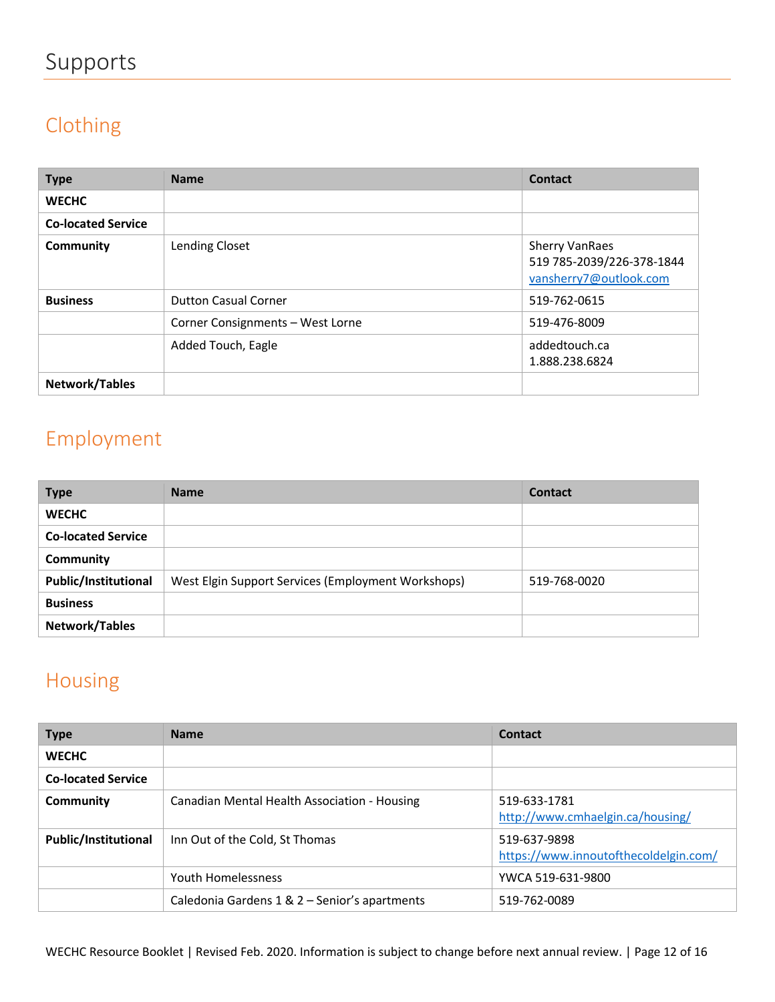# <span id="page-11-0"></span>Supports

# <span id="page-11-1"></span>Clothing

| <b>Type</b>               | <b>Name</b>                      | Contact                                                                      |
|---------------------------|----------------------------------|------------------------------------------------------------------------------|
| <b>WECHC</b>              |                                  |                                                                              |
| <b>Co-located Service</b> |                                  |                                                                              |
| Community                 | Lending Closet                   | <b>Sherry VanRaes</b><br>519 785-2039/226-378-1844<br>vansherry7@outlook.com |
| <b>Business</b>           | <b>Dutton Casual Corner</b>      | 519-762-0615                                                                 |
|                           | Corner Consignments - West Lorne | 519-476-8009                                                                 |
|                           | Added Touch, Eagle               | addedtouch.ca<br>1.888.238.6824                                              |
| Network/Tables            |                                  |                                                                              |

## <span id="page-11-2"></span>Employment

| <b>Type</b>                 | <b>Name</b>                                        | <b>Contact</b> |
|-----------------------------|----------------------------------------------------|----------------|
| <b>WECHC</b>                |                                                    |                |
| <b>Co-located Service</b>   |                                                    |                |
| Community                   |                                                    |                |
| <b>Public/Institutional</b> | West Elgin Support Services (Employment Workshops) | 519-768-0020   |
| <b>Business</b>             |                                                    |                |
| Network/Tables              |                                                    |                |

### <span id="page-11-3"></span>Housing

| <b>Type</b>                 | <b>Name</b>                                   | Contact                                               |
|-----------------------------|-----------------------------------------------|-------------------------------------------------------|
| <b>WECHC</b>                |                                               |                                                       |
| <b>Co-located Service</b>   |                                               |                                                       |
| Community                   | Canadian Mental Health Association - Housing  | 519-633-1781<br>http://www.cmhaelgin.ca/housing/      |
| <b>Public/Institutional</b> | Inn Out of the Cold, St Thomas                | 519-637-9898<br>https://www.innoutofthecoldelgin.com/ |
|                             | Youth Homelessness                            | YWCA 519-631-9800                                     |
|                             | Caledonia Gardens 1 & 2 - Senior's apartments | 519-762-0089                                          |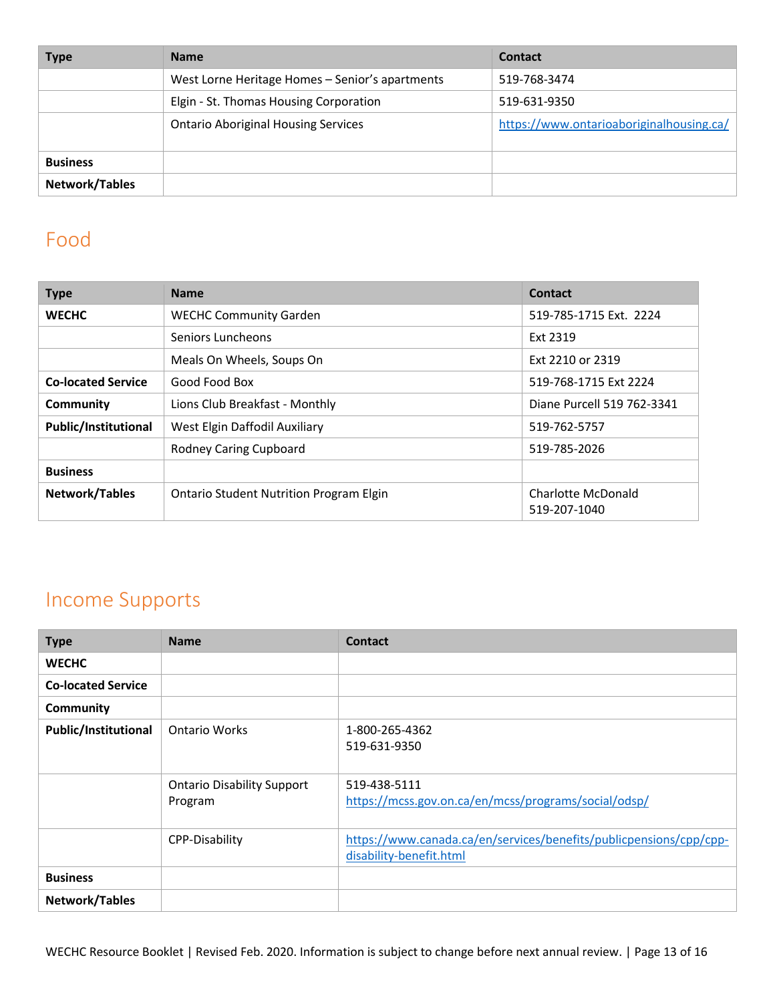| <b>Type</b>     | <b>Name</b>                                     | <b>Contact</b>                           |
|-----------------|-------------------------------------------------|------------------------------------------|
|                 | West Lorne Heritage Homes - Senior's apartments | 519-768-3474                             |
|                 | Elgin - St. Thomas Housing Corporation          | 519-631-9350                             |
|                 | <b>Ontario Aboriginal Housing Services</b>      | https://www.ontarioaboriginalhousing.ca/ |
| <b>Business</b> |                                                 |                                          |
| Network/Tables  |                                                 |                                          |

#### <span id="page-12-0"></span>Food

| <b>Type</b>                 | <b>Name</b>                                    | Contact                                   |
|-----------------------------|------------------------------------------------|-------------------------------------------|
| <b>WECHC</b>                | <b>WECHC Community Garden</b>                  | 519-785-1715 Ext. 2224                    |
|                             | Seniors Luncheons                              | Ext 2319                                  |
|                             | Meals On Wheels, Soups On                      | Ext 2210 or 2319                          |
| <b>Co-located Service</b>   | Good Food Box                                  | 519-768-1715 Ext 2224                     |
| Community                   | Lions Club Breakfast - Monthly                 | Diane Purcell 519 762-3341                |
| <b>Public/Institutional</b> | West Elgin Daffodil Auxiliary                  | 519-762-5757                              |
|                             | <b>Rodney Caring Cupboard</b>                  | 519-785-2026                              |
| <b>Business</b>             |                                                |                                           |
| Network/Tables              | <b>Ontario Student Nutrition Program Elgin</b> | <b>Charlotte McDonald</b><br>519-207-1040 |

### <span id="page-12-1"></span>Income Supports

| <b>Type</b>                 | <b>Name</b>                                  | <b>Contact</b>                                                                                |
|-----------------------------|----------------------------------------------|-----------------------------------------------------------------------------------------------|
| <b>WECHC</b>                |                                              |                                                                                               |
| <b>Co-located Service</b>   |                                              |                                                                                               |
| Community                   |                                              |                                                                                               |
| <b>Public/Institutional</b> | <b>Ontario Works</b>                         | 1-800-265-4362<br>519-631-9350                                                                |
|                             | <b>Ontario Disability Support</b><br>Program | 519-438-5111<br>https://mcss.gov.on.ca/en/mcss/programs/social/odsp/                          |
|                             | <b>CPP-Disability</b>                        | https://www.canada.ca/en/services/benefits/publicpensions/cpp/cpp-<br>disability-benefit.html |
| <b>Business</b>             |                                              |                                                                                               |
| Network/Tables              |                                              |                                                                                               |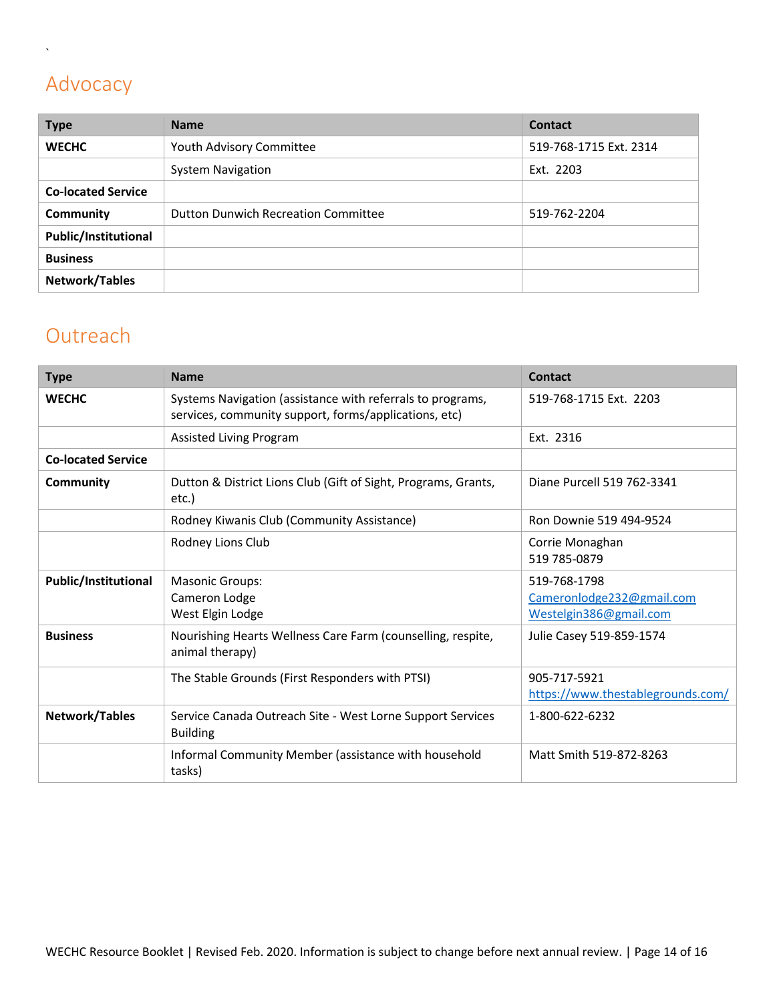# <span id="page-13-0"></span>Advocacy

 $\ddot{\phantom{0}}$ 

| <b>Type</b>                 | <b>Name</b>                                | <b>Contact</b>         |
|-----------------------------|--------------------------------------------|------------------------|
| <b>WECHC</b>                | Youth Advisory Committee                   | 519-768-1715 Ext. 2314 |
|                             | <b>System Navigation</b>                   | Ext. 2203              |
| <b>Co-located Service</b>   |                                            |                        |
| Community                   | <b>Dutton Dunwich Recreation Committee</b> | 519-762-2204           |
| <b>Public/Institutional</b> |                                            |                        |
| <b>Business</b>             |                                            |                        |
| Network/Tables              |                                            |                        |

### <span id="page-13-1"></span>**Outreach**

<span id="page-13-2"></span>

| <b>Type</b>                 | <b>Name</b>                                                                                                         | Contact                                                             |
|-----------------------------|---------------------------------------------------------------------------------------------------------------------|---------------------------------------------------------------------|
| <b>WECHC</b>                | Systems Navigation (assistance with referrals to programs,<br>services, community support, forms/applications, etc) | 519-768-1715 Ext. 2203                                              |
|                             | Assisted Living Program                                                                                             | Ext. 2316                                                           |
| <b>Co-located Service</b>   |                                                                                                                     |                                                                     |
| Community                   | Dutton & District Lions Club (Gift of Sight, Programs, Grants,<br>etc.)                                             | Diane Purcell 519 762-3341                                          |
|                             | Rodney Kiwanis Club (Community Assistance)                                                                          | Ron Downie 519 494-9524                                             |
|                             | Rodney Lions Club                                                                                                   | Corrie Monaghan<br>519 785-0879                                     |
| <b>Public/Institutional</b> | <b>Masonic Groups:</b><br>Cameron Lodge<br>West Elgin Lodge                                                         | 519-768-1798<br>Cameronlodge232@gmail.com<br>Westelgin386@gmail.com |
| <b>Business</b>             | Nourishing Hearts Wellness Care Farm (counselling, respite,<br>animal therapy)                                      | Julie Casey 519-859-1574                                            |
|                             | The Stable Grounds (First Responders with PTSI)                                                                     | 905-717-5921<br>https://www.thestablegrounds.com/                   |
| Network/Tables              | Service Canada Outreach Site - West Lorne Support Services<br><b>Building</b>                                       | 1-800-622-6232                                                      |
|                             | Informal Community Member (assistance with household<br>tasks)                                                      | Matt Smith 519-872-8263                                             |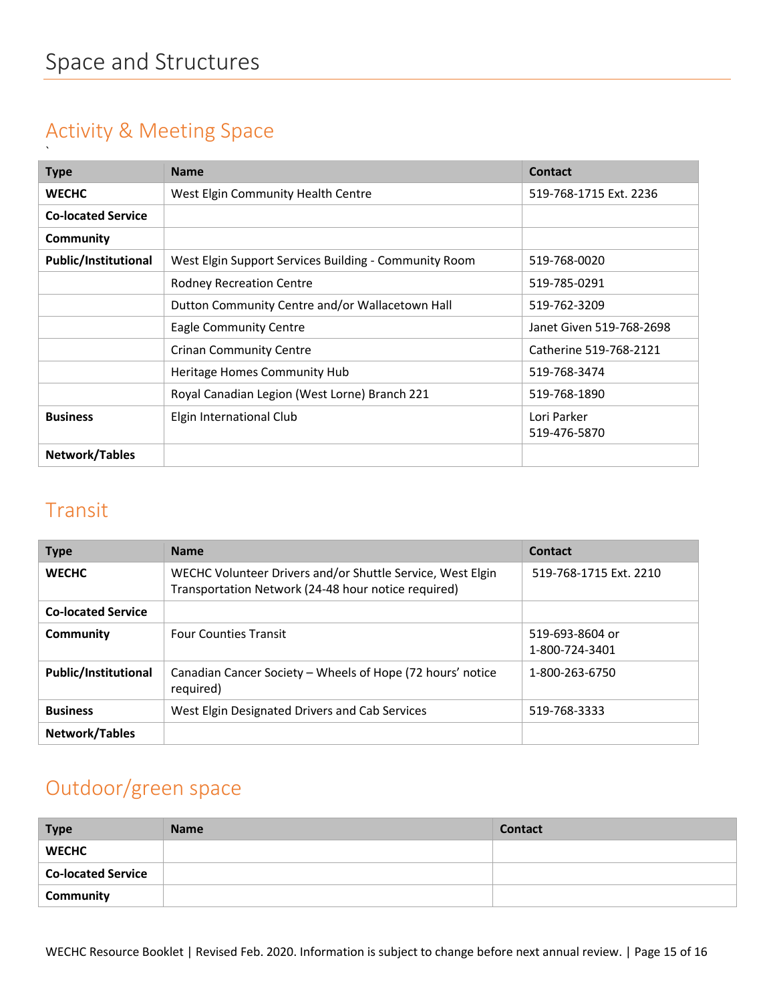#### <span id="page-14-0"></span>Activity & Meeting Space

| <b>Type</b>                 | <b>Name</b>                                           | <b>Contact</b>           |
|-----------------------------|-------------------------------------------------------|--------------------------|
| <b>WECHC</b>                | West Elgin Community Health Centre                    | 519-768-1715 Ext. 2236   |
| <b>Co-located Service</b>   |                                                       |                          |
| Community                   |                                                       |                          |
| <b>Public/Institutional</b> | West Elgin Support Services Building - Community Room | 519-768-0020             |
|                             | <b>Rodney Recreation Centre</b>                       | 519-785-0291             |
|                             | Dutton Community Centre and/or Wallacetown Hall       | 519-762-3209             |
|                             | <b>Eagle Community Centre</b>                         | Janet Given 519-768-2698 |
|                             | <b>Crinan Community Centre</b>                        | Catherine 519-768-2121   |
|                             | Heritage Homes Community Hub                          | 519-768-3474             |
|                             | Royal Canadian Legion (West Lorne) Branch 221         | 519-768-1890             |
| <b>Business</b>             | Elgin International Club                              | Lori Parker              |
|                             |                                                       | 519-476-5870             |
| Network/Tables              |                                                       |                          |

#### <span id="page-14-1"></span>Transit

| <b>Type</b>                 | <b>Name</b>                                                                                                       | Contact                           |
|-----------------------------|-------------------------------------------------------------------------------------------------------------------|-----------------------------------|
| <b>WECHC</b>                | WECHC Volunteer Drivers and/or Shuttle Service, West Elgin<br>Transportation Network (24-48 hour notice required) | 519-768-1715 Ext. 2210            |
| <b>Co-located Service</b>   |                                                                                                                   |                                   |
| Community                   | <b>Four Counties Transit</b>                                                                                      | 519-693-8604 or<br>1-800-724-3401 |
| <b>Public/Institutional</b> | Canadian Cancer Society - Wheels of Hope (72 hours' notice<br>required)                                           | 1-800-263-6750                    |
| <b>Business</b>             | West Elgin Designated Drivers and Cab Services                                                                    | 519-768-3333                      |
| Network/Tables              |                                                                                                                   |                                   |

### <span id="page-14-2"></span>Outdoor/green space

| <b>Type</b>               | <b>Name</b> | <b>Contact</b> |
|---------------------------|-------------|----------------|
| <b>WECHC</b>              |             |                |
| <b>Co-located Service</b> |             |                |
| Community                 |             |                |